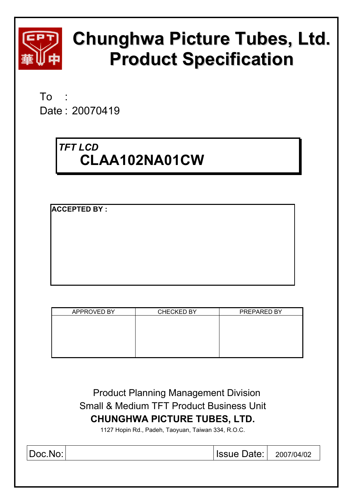

# **Chunghwa Picture Tubes, Ltd. Product Specification**

 $To$ Date : 20070419

# *TFT LCD*  **CLAA102NA01CW**

**ACCEPTED BY :** 

| APPROVED BY | <b>CHECKED BY</b> | PREPARED BY |
|-------------|-------------------|-------------|
|             |                   |             |
|             |                   |             |
|             |                   |             |
|             |                   |             |
|             |                   |             |

 Product Planning Management Division Small & Medium TFT Product Business Unit **CHUNGHWA PICTURE TUBES, LTD.** 

1127 Hopin Rd., Padeh, Taoyuan, Taiwan 334, R.O.C.

| $ Doc\rangle$ | <b>Issue Date:   2007/04/02</b> |  |
|---------------|---------------------------------|--|
|               |                                 |  |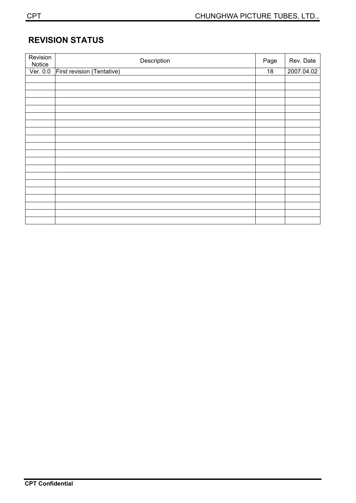# **REVISION STATUS**

| Revision<br>Notice | Description                | Page | Rev. Date  |
|--------------------|----------------------------|------|------------|
| Ver. 0.0           | First revision (Tentative) | 18   | 2007.04.02 |
|                    |                            |      |            |
|                    |                            |      |            |
|                    |                            |      |            |
|                    |                            |      |            |
|                    |                            |      |            |
|                    |                            |      |            |
|                    |                            |      |            |
|                    |                            |      |            |
|                    |                            |      |            |
|                    |                            |      |            |
|                    |                            |      |            |
|                    |                            |      |            |
|                    |                            |      |            |
|                    |                            |      |            |
|                    |                            |      |            |
|                    |                            |      |            |
|                    |                            |      |            |
|                    |                            |      |            |
|                    |                            |      |            |
|                    |                            |      |            |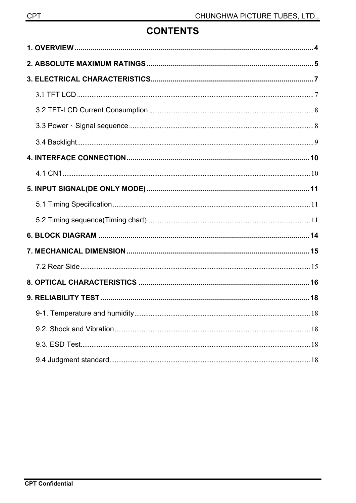# **CONTENTS**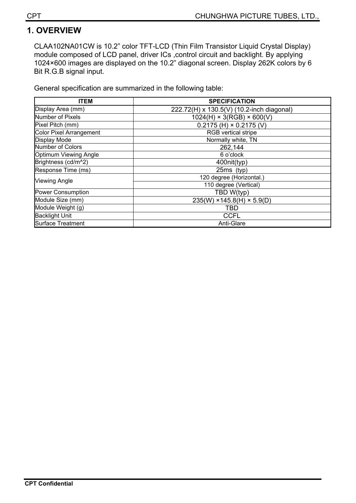# **1. OVERVIEW**

CLAA102NA01CW is 10.2" color TFT-LCD (Thin Film Transistor Liquid Crystal Display) module composed of LCD panel, driver ICs ,control circuit and backlight. By applying 1024×600 images are displayed on the 10.2" diagonal screen. Display 262K colors by 6 Bit R.G.B signal input.

General specification are summarized in the following table:

| <b>ITEM</b>                    | <b>SPECIFICATION</b>                      |  |  |  |
|--------------------------------|-------------------------------------------|--|--|--|
| Display Area (mm)              | 222.72(H) x 130.5(V) (10.2-inch diagonal) |  |  |  |
| Number of Pixels               | $1024(H) \times 3(RGB) \times 600(V)$     |  |  |  |
| Pixel Pitch (mm)               | $0.2175$ (H) $\times$ 0.2175 (V)          |  |  |  |
| <b>Color Pixel Arrangement</b> | <b>RGB</b> vertical stripe                |  |  |  |
| <b>Display Mode</b>            | Normally white, TN                        |  |  |  |
| Number of Colors               | 262,144                                   |  |  |  |
| Optimum Viewing Angle          | 6 o'clock                                 |  |  |  |
| Brightness (cd/m^2)            | 400nit(typ)                               |  |  |  |
| Response Time (ms)             | 25ms (typ)                                |  |  |  |
| <b>Viewing Angle</b>           | 120 degree (Horizontal.)                  |  |  |  |
|                                | 110 degree (Vertical)                     |  |  |  |
| <b>Power Consumption</b>       | TBD W(typ)                                |  |  |  |
| Module Size (mm)               | $235(W)$ × 145.8(H) × 5.9(D)              |  |  |  |
| Module Weight (g)              | TBD                                       |  |  |  |
| <b>Backlight Unit</b>          | <b>CCFL</b>                               |  |  |  |
| <b>Surface Treatment</b>       | Anti-Glare                                |  |  |  |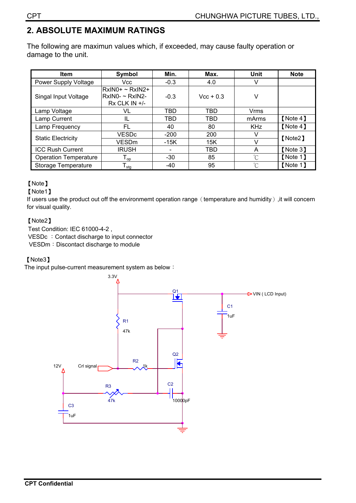# **2. ABSOLUTE MAXIMUM RATINGS**

The following are maximun values which, if exceeded, may cause faulty operation or damage to the unit.

| <b>Item</b>                  | Symbol                                                       | Min.   | Max.        | <b>Unit</b>          | <b>Note</b> |  |
|------------------------------|--------------------------------------------------------------|--------|-------------|----------------------|-------------|--|
| Power Supply Voltage         | Vcc                                                          | $-0.3$ | 4.0         |                      |             |  |
| Singal Input Voltage         | $RxIN0+ \sim RxIN2+$<br>RxIN0- ~ RxIN2-<br>$Rx$ CLK IN $+/-$ | $-0.3$ | $Vec + 0.3$ | v                    |             |  |
| Lamp Voltage                 | VL                                                           | TBD    | TBD         | Vrms                 |             |  |
| Lamp Current                 | IL                                                           | TBD    | TBD         | mArms                | [Note 4]    |  |
| Lamp Frequency               | FL.                                                          | 40     | 80          | <b>KHz</b>           | [Note 4]    |  |
| <b>Static Electricity</b>    | VESDc                                                        | $-200$ | 200         |                      | [Note2]     |  |
|                              | <b>VESD<sub>m</sub></b>                                      | $-15K$ | 15K         |                      |             |  |
| <b>ICC Rush Current</b>      | <b>IRUSH</b>                                                 |        | TBD         | A                    | [Note 3]    |  |
| <b>Operation Temperature</b> | $\mathsf{I}_{\mathsf{op}}$                                   | $-30$  | 85          | $\mathrm{C}^{\circ}$ | [Note 1]    |  |
| Storage Temperature          | ${\mathsf T}_{\text{stg}}$                                   | -40    | 95          | °C                   | [Note 1]    |  |

### [Note]

#### [Note1]

If users use the product out off the environmemt operation range (temperature and humidity), it will concern for visual quality.

### [Note2]

Test Condition: IEC 61000-4-2 , VESDc : Contact discharge to input connector VESDm: Discontact discharge to module

### μNote3ν

The input pulse-current measurement system as below  $\colon$ 

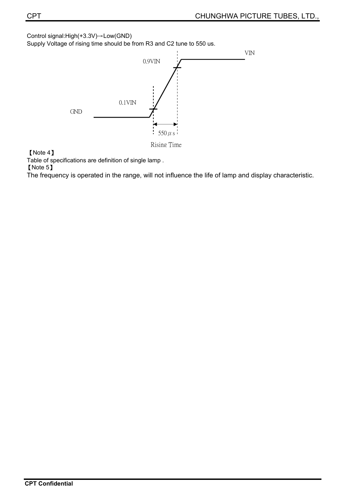Control signal: $High(+3.3V) \rightarrow Low(GND)$ 

Supply Voltage of rising time should be from R3 and C2 tune to 550 us.



[Note 4]

Table of specifications are definition of single lamp .

[Note 5]

The frequency is operated in the range, will not influence the life of lamp and display characteristic.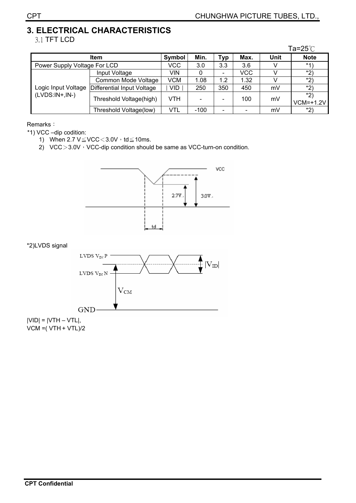### **3. ELECTRICAL CHARACTERISTICS**  3.1 TFT LCD

|                     |                              |            |            |                          |            |             | Ta=25 $°C$           |
|---------------------|------------------------------|------------|------------|--------------------------|------------|-------------|----------------------|
|                     | Symbol                       | Min.       | <b>Typ</b> | Max.                     | Unit       | <b>Note</b> |                      |
|                     | Power Supply Voltage For LCD |            |            | 3.3                      | 3.6        |             | $*1)$                |
|                     | Input Voltage                | VIN        |            | $\overline{\phantom{a}}$ | <b>VCC</b> |             | *2)                  |
|                     | Common Mode Voltage          | <b>VCM</b> | 1.08       | 1.2                      | 1.32       |             | *2)                  |
| Logic Input Voltage | Differential Input Voltage   | VID.       | 250        | 350                      | 450        | mV          | $*2)$                |
| $(LVDS:IN+,IN-)$    | Threshold Voltage(high)      | VTH        |            | $\overline{\phantom{a}}$ | 100        | mV          | $*2)$<br>$VCM=+1.2V$ |
|                     | Threshold Voltage(low)       | VTL        | $-100$     | $\overline{\phantom{a}}$ |            | mV          | $*2)$                |

Remarks:

\*1) VCC –dip codition:

- 1) When 2.7  $V \leq VCC < 3.0V \cdot td \leq 10ms$ .
- 2) VCC $>3.0V$ <sup>,</sup> VCC-dip condition should be same as VCC-turn-on condition.



\*2)LVDS signal



 $|VID| = |VTH - VTL|$ , VCM =( VTH + VTL)/2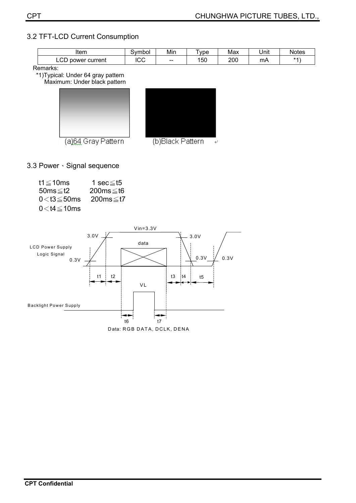### 3.2 TFT-LCD Current Consumption

| Item                       | vmbol<br>.   | Min   | <b>vpe</b> | Max | Unit | Notes |
|----------------------------|--------------|-------|------------|-----|------|-------|
| $\sim$<br>current<br>power | $\sim$<br>◡◡ | $- -$ | 150        | 200 | mA   | $*1$  |

Remarks:

\*1)Typical: Under 64 gray pattern

Maximum: Under black pattern





3.3 Power · Signal sequence

| t1 $\leq$ 10ms      | 1 sec≤t5        |
|---------------------|-----------------|
| 50ms $\leq$ t2      | $200ms \leq t6$ |
| $0<$ t $3\leq$ 50ms | 200ms≤t7        |
| $0<$ t4 $\leq$ 10ms |                 |

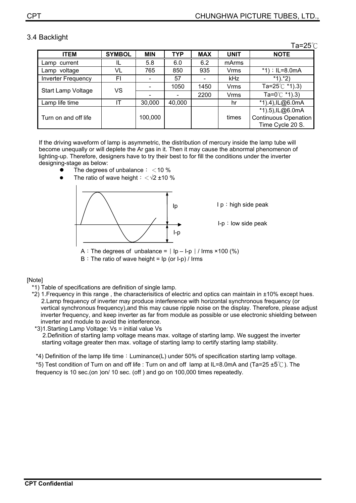### 3.4 Backlight

 $Ta = 25^\circ \textcirc$ 

|                           |               |            |            |            |             | 1 U L V \                |
|---------------------------|---------------|------------|------------|------------|-------------|--------------------------|
| <b>ITEM</b>               | <b>SYMBOL</b> | <b>MIN</b> | <b>TYP</b> | <b>MAX</b> | <b>UNIT</b> | <b>NOTE</b>              |
| Lamp current              |               | 5.8        | 6.0        | 6.2        | mArms       |                          |
| Lamp voltage              | VL            | 765        | 850        | 935        | Vrms        | *1); $IL=8.0mA$          |
| <b>Inverter Frequency</b> | FI            |            | 57         |            | kHz         | $*1$ .*2)                |
| Start Lamp Voltage        | VS            |            | 1050       | 1450       | Vrms        | Ta=25 $°C$ *1).3)        |
|                           |               |            |            | 2200       | Vrms        | Ta=0 $^{\circ}$ C *1).3) |
| Lamp life time            | ıτ            | 30,000     | 40,000     |            | hr          | *1).4), IL@6.0mA         |
|                           |               |            |            |            |             | *1).5), IL@6.0mA         |
| Turn on and off life      |               | 100,000    |            |            | times       | Continuous Openation     |
|                           |               |            |            |            |             | Time Cycle 20 S.         |

If the driving waveform of lamp is asymmetric, the distribution of mercury inside the lamp tube will become unequally or will deplete the Ar gas in it. Then it may cause the abnormal phenomenon of lighting-up. Therefore, designers have to try their best to for fill the conditions under the inverter designing-stage as below:

- The degrees of unbalance:  $<$  10 %
- The ratio of wave height  $\frac{1}{2}$   $\frac{1}{2}$  ±10 %



A: The degrees of unbalance =  $\vert$  Ip – I-p  $\vert$  / Irms ×100 (%)

 $B:$  The ratio of wave height = Ip (or I-p) / Irms

#### [Note]

- \*1) Table of specifications are definition of single lamp.
- \*2) 1.Frequency in this range , the characterisitics of electric and optics can maintain in ±10% except hues. 2.Lamp frequency of inverter may produce interference with horizontal synchronous frequency (or vertical synchronous frequency),and this may cause ripple noise on the display. Therefore, please adjust inverter frequency, and keep inverter as far from module as possible or use electronic shielding between inverter and module to avoid the interference.

\*3)1.Starting Lamp Voltage: Vs = initial value Vs 2.Definition of starting lamp voltage means max. voltage of starting lamp. We suggest the inverter starting voltage greater then max. voltage of starting lamp to certify starting lamp stability.

\*4) Definition of the lamp life time: Luminance(L) under 50% of specification starting lamp voltage.

\*5) Test condition of Turn on and off life : Turn on and off lamp at IL=8.0mA and (Ta=25  $\pm$ 5°C). The frequency is 10 sec.(on )on/ 10 sec. (off ) and go on 100,000 times repeatedly.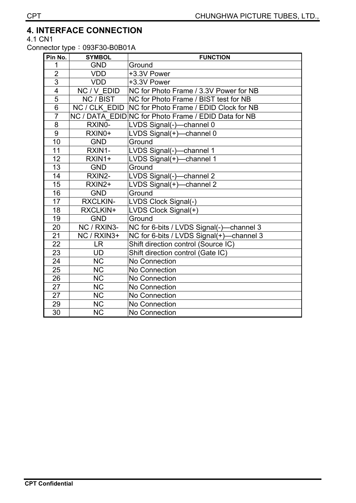# **4. INTERFACE CONNECTION**

4.1 CN1

Connector type: 093F30-B0B01A

| Pin No.         | <b>SYMBOL</b>          | <b>FUNCTION</b>                                      |
|-----------------|------------------------|------------------------------------------------------|
|                 | <b>GND</b>             | Ground                                               |
| $\overline{2}$  | <b>VDD</b>             | +3.3V Power                                          |
| $\overline{3}$  | <b>VDD</b>             | +3.3V Power                                          |
| $\overline{4}$  | NC / V EDID            | NC for Photo Frame / 3.3V Power for NB               |
| $\overline{5}$  | NC / BIST              | NC for Photo Frame / BIST test for NB                |
| $\overline{6}$  | NC / CLK EDID          | <b>NC for Photo Frame / EDID Clock for NB</b>        |
| $\overline{7}$  |                        | NC / DATA EDID NC for Photo Frame / EDID Data for NB |
| $\overline{8}$  | RXIN0-                 | LVDS Signal(-)-channel 0                             |
| 9               | RXIN0+                 | LVDS Signal(+)-channel 0                             |
| 10              | <b>GND</b>             | Ground                                               |
| 11              | RXIN1-                 | LVDS Signal(-)-channel 1                             |
| 12              | RXIN1+                 | LVDS Signal(+)-<br>channel 1                         |
| 13              | <b>GND</b>             | Ground                                               |
| 14              | RXIN2-                 | LVDS Signal(-)-channel 2                             |
| 15              | RXIN2+                 | LVDS Signal(+)-channel 2                             |
| 16              | <b>GND</b>             | Ground                                               |
| $\overline{17}$ | RXCLKIN-               | LVDS Clock Signal(-)                                 |
| 18              | RXCLKIN+               | LVDS Clock Signal(+)                                 |
| 19              | <b>GND</b>             | Ground                                               |
| 20              | NC / RXIN3-            | NC for 6-bits / LVDS Signal(-)-channel 3             |
| $\overline{21}$ | NC / RXIN3+            | NC for 6-bits / LVDS Signal(+)-channel 3             |
| $\overline{22}$ | LR                     | Shift direction control (Source IC)                  |
| 23              | <b>UD</b>              | Shift direction control (Gate IC)                    |
| $\overline{24}$ | <b>NC</b>              | No Connection                                        |
| 25              | <b>NC</b>              | No Connection                                        |
| $\overline{26}$ | $\overline{\text{NC}}$ | No Connection                                        |
| $\overline{27}$ | <b>NC</b>              | No Connection                                        |
| $\overline{27}$ | $\overline{\text{NC}}$ | No Connection                                        |
| 29              | <b>NC</b>              | No Connection                                        |
| $\overline{30}$ | <b>NC</b>              | No Connection                                        |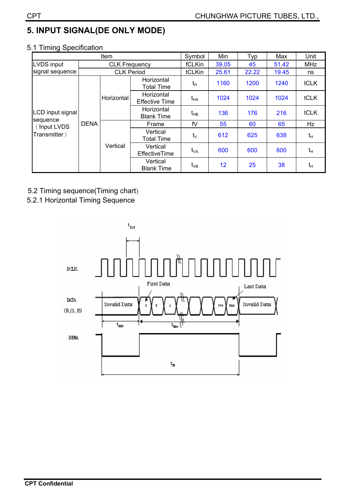# **5. INPUT SIGNAL(DE ONLY MODE)**

### 5.1 Timing Specification

|                         | Item        |                      |                                     | Symbol     | Min   | Typ   | Max   | Unit       |
|-------------------------|-------------|----------------------|-------------------------------------|------------|-------|-------|-------|------------|
| LVDS input              |             | <b>CLK Frequency</b> |                                     |            | 39.05 | 45    | 51.42 | <b>MHz</b> |
| signal sequence         |             | <b>CLK Period</b>    |                                     | tCLKin     | 25.61 | 22.22 | 19.45 | ns         |
| LCD input signal        | <b>DENA</b> |                      | Horizontal<br><b>Total Time</b>     | $t_H$      | 1160  | 1200  | 1240  | tCLK       |
|                         |             | Horizontal           | Horizontal<br><b>Effective Time</b> | $t_{HA}$   | 1024  | 1024  | 1024  | tCLK       |
|                         |             |                      | Horizontal<br><b>Blank Time</b>     | $t_{HB}$   | 136   | 176   | 216   | tCLK       |
| sequence<br>(Input LVDS |             | Vertical             | Frame                               | fV         | 55    | 60    | 65    | Hz         |
| Transmitter)            |             |                      | Vertical<br><b>Total Time</b>       | $t_{\vee}$ | 612   | 625   | 638   | $t_{H}$    |
|                         |             |                      | Vertical<br>EffectiveTime           | $t_{VA}$   | 600   | 600   | 600   | $t_H$      |
|                         |             |                      | Vertical<br><b>Blank Time</b>       | $t_{VB}$   | 12    | 25    | 38    | $t_H$      |

- 5.2 Timing sequence(Timing chart)
- 5.2.1 Horizontal Timing Sequence

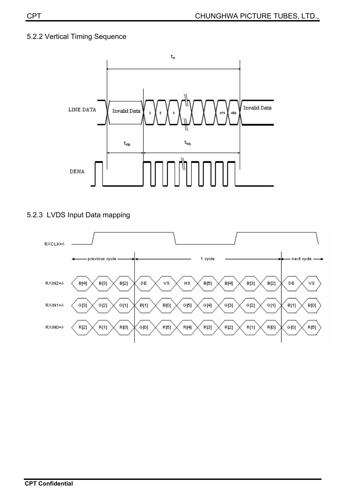### 5.2.2 Vertical Timing Sequence



### 5.2.3 LVDS Input Data mapping

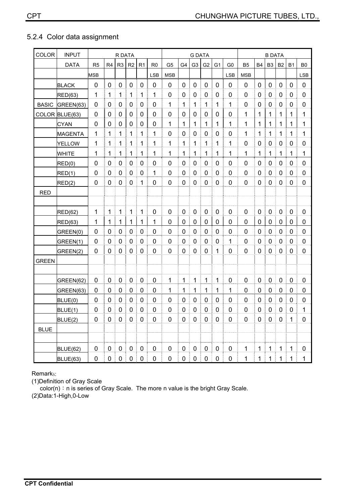### 5.2.4 Color data assignment

| <b>COLOR</b> | <b>INPUT</b>   | R DATA         |                |                |                | <b>G DATA</b>  |                |                |             |                | <b>B DATA</b>  |                |                |                |                  |                  |             |             |                |
|--------------|----------------|----------------|----------------|----------------|----------------|----------------|----------------|----------------|-------------|----------------|----------------|----------------|----------------|----------------|------------------|------------------|-------------|-------------|----------------|
|              | <b>DATA</b>    | R <sub>5</sub> | R <sub>4</sub> | R <sub>3</sub> | R <sub>2</sub> | R <sub>1</sub> | R <sub>0</sub> | G <sub>5</sub> | G4          | G <sub>3</sub> | G <sub>2</sub> | G <sub>1</sub> | G <sub>0</sub> | B <sub>5</sub> | <b>B4</b>        | B <sub>3</sub>   | <b>B2</b>   | <b>B1</b>   | B <sub>0</sub> |
|              |                | <b>MSB</b>     |                |                |                |                | <b>LSB</b>     | <b>MSB</b>     |             |                |                |                | <b>LSB</b>     | <b>MSB</b>     |                  |                  |             |             | <b>LSB</b>     |
|              | <b>BLACK</b>   | 0              | $\mathbf 0$    | 0              | $\pmb{0}$      | $\mathbf 0$    | 0              | 0              | $\mathbf 0$ | $\mathbf 0$    | $\mathbf 0$    | 0              | 0              | $\mathbf 0$    | $\boldsymbol{0}$ | 0                | $\mathbf 0$ | $\mathbf 0$ | 0              |
|              | RED(63)        | 1              | 1              | 1              | 1              | 1              | 1              | 0              | 0           | 0              | 0              | 0              | 0              | 0              | 0                | 0                | 0           | 0           | 0              |
| <b>BASIC</b> | GREEN(63)      | 0              | $\mathbf 0$    | $\mathbf 0$    | 0              | 0              | $\mathbf 0$    | 1              | 1           | 1              | 1              | 1              | 1              | 0              | $\mathbf 0$      | $\mathbf 0$      | $\mathbf 0$ | 0           | $\mathbf 0$    |
|              | COLOR BLUE(63) | 0              | $\mathbf 0$    | 0              | $\mathbf 0$    | 0              | $\mathbf 0$    | 0              | 0           | 0              | $\mathbf 0$    | 0              | 0              | 1              | $\mathbf{1}$     | 1                | 1           | $\mathbf 1$ | 1              |
|              | <b>CYAN</b>    | 0              | 0              | 0              | $\pmb{0}$      | 0              | 0              | 1              | 1           | 1              | 1              | 1              | 1              | 1              | 1                | 1                | 1           | 1           | 1              |
|              | MAGENTA        | 1              | 1              | 1              | 1              | 1              | 1              | $\mathbf 0$    | 0           | 0              | 0              | 0              | 0              | 1              | 1                | 1                | 1           | 1           | 1              |
|              | <b>YELLOW</b>  | 1              | 1              | 1              | $\mathbf{1}$   | 1              | 1              | 1              | 1           | 1              | 1              | 1              | 1              | 0              | 0                | 0                | 0           | 0           | $\mathbf 0$    |
|              | <b>WHITE</b>   | 1              | 1              | 1              | 1              | 1              | 1              | 1              | 1           | 1              | 1              | 1              | 1              | 1              | 1                | 1                | 1           | 1           | 1              |
|              | RED(0)         | 0              | 0              | 0              | 0              | 0              | 0              | 0              | 0           | 0              | 0              | 0              | 0              | 0              | 0                | 0                | 0           | 0           | 0              |
|              | RED(1)         | 0              | 0              | 0              | 0              | 0              | 1              | 0              | 0           | 0              | 0              | 0              | 0              | 0              | 0                | 0                | 0           | 0           | $\mathbf 0$    |
|              | RED(2)         | 0              | $\mathbf 0$    | 0              | 0              | 1              | $\pmb{0}$      | 0              | 0           | 0              | 0              | 0              | 0              | 0              | $\mathbf 0$      | $\boldsymbol{0}$ | 0           | 0           | $\pmb{0}$      |
| <b>RED</b>   |                |                |                |                |                |                |                |                |             |                |                |                |                |                |                  |                  |             |             |                |
|              |                |                |                |                |                |                |                |                |             |                |                |                |                |                |                  |                  |             |             |                |
|              | RED(62)        | 1              | 1              | 1              | $\mathbf{1}$   | 1              | $\mathbf 0$    | $\mathbf 0$    | $\mathbf 0$ | $\mathbf 0$    | $\mathbf 0$    | $\mathbf 0$    | 0              | $\overline{0}$ | $\pmb{0}$        | $\pmb{0}$        | $\mathbf 0$ | 0           | 0              |
|              | RED(63)        | 1              | $\mathbf{1}$   | 1              | $\mathbf{1}$   | $\mathbf{1}$   | 1              | 0              | $\mathbf 0$ | $\mathbf 0$    | $\mathbf 0$    | $\mathbf 0$    | 0              | 0              | $\pmb{0}$        | 0                | 0           | 0           | $\pmb{0}$      |
|              | GREEN(0)       | 0              | 0              | 0              | 0              | 0              | 0              | 0              | 0           | 0              | 0              | 0              | 0              | 0              | 0                | 0                | 0           | 0           | 0              |
|              | GREEN(1)       | 0              | 0              | 0              | 0              | 0              | 0              | 0              | 0           | 0              | 0              | 0              | 1              | 0              | 0                | 0                | 0           | 0           | 0              |
|              | GREEN(2)       | 0              | $\mathbf 0$    | $\mathbf 0$    | 0              | 0              | $\mathbf 0$    | $\overline{0}$ | 0           | $\mathbf 0$    | $\mathbf 0$    | 1              | 0              | 0              | $\mathbf 0$      | 0                | $\mathbf 0$ | 0           | $\mathbf 0$    |
| <b>GREEN</b> |                |                |                |                |                |                |                |                |             |                |                |                |                |                |                  |                  |             |             |                |
|              |                |                |                |                |                |                |                |                |             |                |                |                |                |                |                  |                  |             |             |                |
|              | GREEN(62)      | 0              | $\mathbf 0$    | $\mathbf 0$    | $\mathbf 0$    | 0              | $\mathbf 0$    | 1              | 1           | 1              | 1              | 1              | $\overline{0}$ | $\overline{0}$ | $\mathbf 0$      | $\pmb{0}$        | $\mathbf 0$ | 0           | 0              |
|              | GREEN(63)      | 0              | $\mathbf 0$    | 0              | 0              | 0              | $\mathbf 0$    | 1              | 1           | 1              | 1              | 1              | $\mathbf{1}$   | 0              | $\mathbf 0$      | $\mathbf 0$      | 0           | 0           | $\mathbf 0$    |
|              | BLUE(0)        | 0              | 0              | 0              | 0              | 0              | 0              | 0              | 0           | 0              | 0              | 0              | 0              | 0              | 0                | 0                | 0           | 0           | 0              |
|              | BLUE(1)        | 0              | 0              | 0              | 0              | 0              | 0              | 0              | 0           | 0              | 0              | 0              | 0              | 0              | 0                | 0                | 0           | 0           | 1              |
|              | BLUE(2)        | $\pmb{0}$      | $\mathbf 0$    | $\pmb{0}$      | $\mathbf 0$    | $\pmb{0}$      | $\pmb{0}$      | $\pmb{0}$      | $\pmb{0}$   | $\pmb{0}$      | $\pmb{0}$      | $\pmb{0}$      | $\pmb{0}$      | 0              | $\pmb{0}$        | $\pmb{0}$        | $\pmb{0}$   | 1           | 0              |
| <b>BLUE</b>  |                |                |                |                |                |                |                |                |             |                |                |                |                |                |                  |                  |             |             |                |
|              |                |                |                |                |                |                |                |                |             |                |                |                |                |                |                  |                  |             |             |                |
|              | BLUE(62)       | $\pmb{0}$      | $\pmb{0}$      | $\pmb{0}$      | $\pmb{0}$      | $\pmb{0}$      | $\pmb{0}$      | $\pmb{0}$      | $\pmb{0}$   | $\pmb{0}$      | $\pmb{0}$      | $\pmb{0}$      | $\pmb{0}$      | 1              | 1                | $\mathbf 1$      | 1           | $\mathbf 1$ | $\pmb{0}$      |
|              | BLUE(63)       | $\pmb{0}$      | $\pmb{0}$<br>I | $\pmb{0}$      | $\pmb{0}$      | $\pmb{0}$      | $\pmb{0}$      | $\pmb{0}$      | $\pmb{0}$   | $\pmb{0}$<br>I | $\pmb{0}$      | $\pmb{0}$      | $\pmb{0}$      | 1              | $\mathbf 1$      | 1                | 1           | 1           | 1              |

Remarks:

(1)Definition of Gray Scale

color(n): n is series of Gray Scale. The more n value is the bright Gray Scale.

(2)Data:1-High,0-Low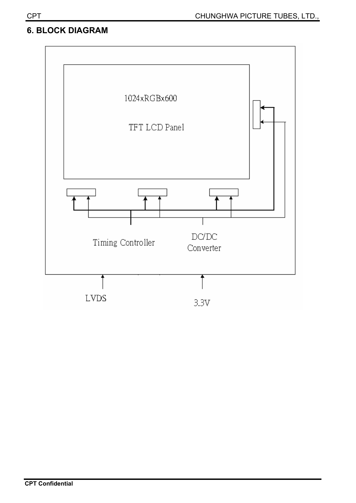## **6. BLOCK DIAGRAM**

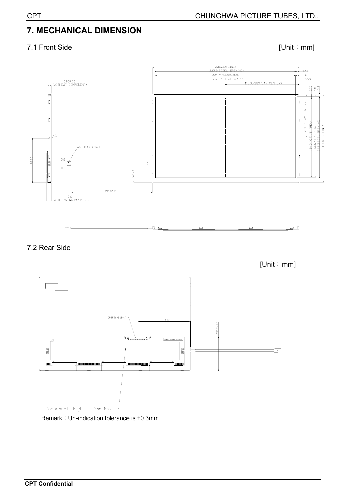# **7. MECHANICAL DIMENSION**

### 7.1 Front Side [Unit: mm]





 $[Unit : mm]$ 

로과



Remark: Un-indication tolerance is ±0.3mm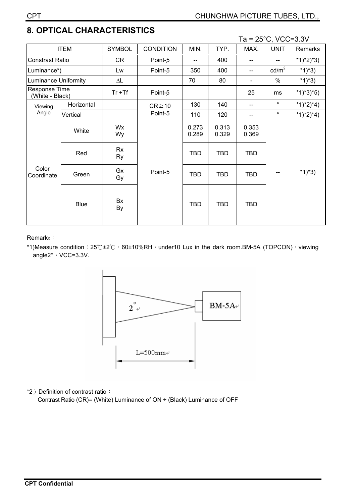# **8. OPTICAL CHARACTERISTICS**

Ta = 25°C, VCC=3.3V

|                                         |             |                     |                  |                |                | . .            | $20, v \cup v \cup v$ |             |
|-----------------------------------------|-------------|---------------------|------------------|----------------|----------------|----------------|-----------------------|-------------|
|                                         | <b>ITEM</b> | <b>SYMBOL</b>       | <b>CONDITION</b> | MIN.           | TYP.           | MAX.           | <b>UNIT</b>           | Remarks     |
| <b>Constrast Ratio</b>                  |             | CR                  | Point-5          | $-$            | 400            |                |                       | $*1)*2)*3)$ |
| Luminance*)                             |             | Lw                  | Point-5          | 350            | 400            |                | $\text{cd/m}^2$       | *1)*3)      |
| <b>Luminance Uniformity</b>             |             | $\Delta \mathsf{L}$ |                  | 70             | 80             |                | $\%$                  | $*1)*3)$    |
| <b>Response Time</b><br>(White - Black) |             | $Tr + Tf$           | Point-5          |                |                | 25             | ms                    | $*1)*3*5)$  |
| Viewing                                 | Horizontal  |                     | $CR \ge 10$      | 130            | 140            |                | $\circ$               | *1)*2)*4)   |
| Angle                                   | Vertical    |                     | Point-5          | 110            | 120            |                | $\circ$               | *1)*2)*4)   |
| Color<br>Coordinate                     | White       | Wx<br>Wy            |                  | 0.273<br>0.289 | 0.313<br>0.329 | 0.353<br>0.369 |                       | $*1)*3)$    |
|                                         | Red         | <b>Rx</b><br>Ry     |                  | <b>TBD</b>     | <b>TBD</b>     | <b>TBD</b>     |                       |             |
|                                         | Green       | Gx<br>Gy            | Point-5          | <b>TBD</b>     | <b>TBD</b>     | <b>TBD</b>     |                       |             |
|                                         | <b>Blue</b> | Bx<br>By            |                  | <b>TBD</b>     | <b>TBD</b>     | <b>TBD</b>     |                       |             |

Remark<sub>S</sub>:

\*1)Measure condition: 25 °C ±2 °C  $\cdot$  60±10%RH $\cdot$  under10 Lux in the dark room.BM-5A (TOPCON) $\cdot$  viewing angle2°, VCC=3.3V.



\*2) Definition of contrast ratio:

Contrast Ratio (CR)= (White) Luminance of ON ÷ (Black) Luminance of OFF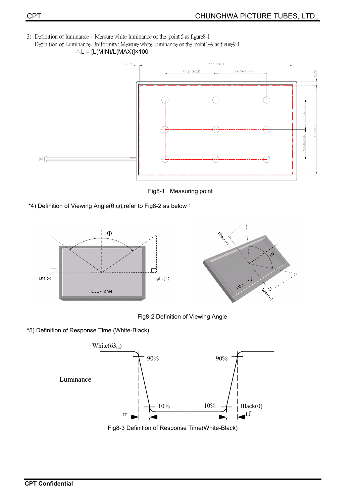3) Definition of luminance : Measure white luminance on the point 5 as figure 8-1 Definition of Luminance Uniformity: Measure white luminance on the point1~9 as figure9-1  $\triangle L = [L(MIN)/L(MAX)] \times 100$ 



Fig8-1 Measuring point

\*4) Definition of Viewing Angle( $\theta, \psi$ ),refer to Fig8-2 as below :



Fig8-2 Definition of Viewing Angle

\*5) Definition of Response Time.(White-Black)



Fig8-3 Definition of Response Time(White-Black)